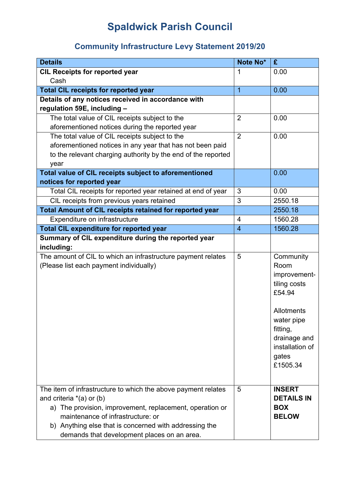## **Spaldwick Parish Council**

## **Community Infrastructure Levy Statement 2019/20**

| <b>Details</b>                                                    | Note No*       | £                 |
|-------------------------------------------------------------------|----------------|-------------------|
| <b>CIL Receipts for reported year</b>                             | 1              | 0.00              |
| Cash                                                              |                |                   |
| <b>Total CIL receipts for reported year</b>                       | 1              | 0.00              |
| Details of any notices received in accordance with                |                |                   |
| regulation 59E, including -                                       |                |                   |
| The total value of CIL receipts subject to the                    | $\overline{2}$ | 0.00              |
| aforementioned notices during the reported year                   |                |                   |
| The total value of CIL receipts subject to the                    | $\overline{2}$ | 0.00              |
| aforementioned notices in any year that has not been paid         |                |                   |
| to the relevant charging authority by the end of the reported     |                |                   |
| year                                                              |                |                   |
| Total value of CIL receipts subject to aforementioned             |                | 0.00              |
| notices for reported year                                         |                |                   |
| Total CIL receipts for reported year retained at end of year      | 3              | 0.00              |
| CIL receipts from previous years retained                         | 3              | 2550.18           |
| Total Amount of CIL receipts retained for reported year           |                | 2550.18           |
| Expenditure on infrastructure                                     | $\overline{4}$ | 1560.28           |
| <b>Total CIL expenditure for reported year</b>                    | $\overline{4}$ | 1560.28           |
| Summary of CIL expenditure during the reported year<br>including: |                |                   |
| The amount of CIL to which an infrastructure payment relates      | 5              | Community         |
| (Please list each payment individually)                           |                | Room              |
|                                                                   |                | improvement-      |
|                                                                   |                | tiling costs      |
|                                                                   |                | £54.94            |
|                                                                   |                |                   |
|                                                                   |                | Allotments        |
|                                                                   |                | water pipe        |
|                                                                   |                | fitting,          |
|                                                                   |                | drainage and      |
|                                                                   |                | installation of   |
|                                                                   |                | gates             |
|                                                                   |                | £1505.34          |
|                                                                   |                |                   |
|                                                                   |                |                   |
| The item of infrastructure to which the above payment relates     | 5              | <b>INSERT</b>     |
| and criteria $*(a)$ or (b)                                        |                | <b>DETAILS IN</b> |
| a) The provision, improvement, replacement, operation or          |                | <b>BOX</b>        |
| maintenance of infrastructure: or                                 |                | <b>BELOW</b>      |
| b) Anything else that is concerned with addressing the            |                |                   |
| demands that development places on an area.                       |                |                   |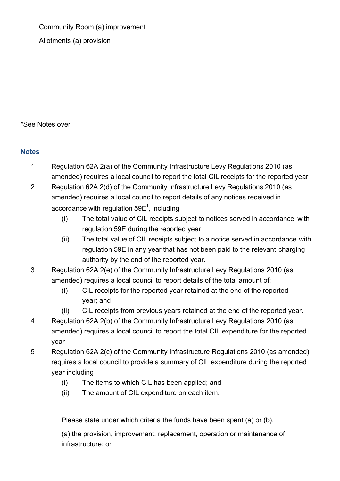Community Room (a) improvement

Allotments (a) provision

\*See Notes over

## **Notes**

- 1 Regulation 62A 2(a) of the Community Infrastructure Levy Regulations 2010 (as amended) requires a local council to report the total CIL receipts for the reported year
- 2 Regulation 62A 2(d) of the Community Infrastructure Levy Regulations 2010 (as amended) requires a local council to report details of any notices received in accordance with regulation 59 $E^1$ , including
	- (i) The total value of CIL receipts subject to notices served in accordance with regulation 59E during the reported year
	- (ii) The total value of CIL receipts subject to a notice served in accordance with regulation 59E in any year that has not been paid to the relevant charging authority by the end of the reported year.
- 3 Regulation 62A 2(e) of the Community Infrastructure Levy Regulations 2010 (as amended) requires a local council to report details of the total amount of:
	- (i) CIL receipts for the reported year retained at the end of the reported year; and
	- (ii) CIL receipts from previous years retained at the end of the reported year.
- 4 Regulation 62A 2(b) of the Community Infrastructure Levy Regulations 2010 (as amended) requires a local council to report the total CIL expenditure for the reported year
- 5 Regulation 62A 2(c) of the Community Infrastructure Regulations 2010 (as amended) requires a local council to provide a summary of CIL expenditure during the reported year including
	- (i) The items to which CIL has been applied; and
	- (ii) The amount of CIL expenditure on each item.

Please state under which criteria the funds have been spent (a) or (b).

(a) the provision, improvement, replacement, operation or maintenance of infrastructure: or